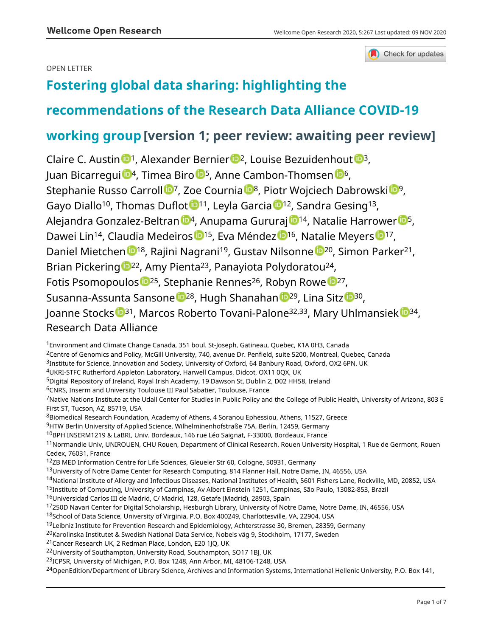Check for updates

# OPEN LETTER

# **[Fostering global data sharing: highlighting the](https://wellcomeopenresearch.org/articles/5-267/v1)**

# **[recommendations of the Research Data Alliance COVID-19](https://wellcomeopenresearch.org/articles/5-267/v1)**

# **[working group](https://wellcomeopenresearch.org/articles/5-267/v1) [version 1; peer review: awaiting peer review]**

Claire C. Aus[t](https://orcid.org/0000-0003-4328-3963)in  $\mathbb{D}^1$ , Alexander Bernier  $\mathbb{D}^2$ , Louise Bezuidenhout  $\mathbb{D}^3$ , Juan Bicarregui <sup>104</sup>, Timea Biro <sup>105</sup>, Anne Cambon-Thomsen <sup>10[6](https://orcid.org/0000-0001-8793-3644)</sup>, Stephanie Russo Carroll  $\mathbb{D}^7$ , Zoe Cournia  $\mathbb{D}^8$ , Piotr Wojciech Dabrowski  $\mathbb{D}^9$  $\mathbb{D}^9$ , Gayo Diallo<sup>[1](https://orcid.org/0000-0002-8730-284X)0</sup>, Thomas Duflot <sup>11</sup>, Leyla Garcia <sup>12</sup>, Sandra Gesing<sup>13</sup>, Ale[j](https://orcid.org/0000-0002-4221-4379)andra Gonzalez-Beltran  $\mathbb{D}^4$ , Anupama Gururaj  $\mathbb{D}^{14}$ , Natalie Harrower  $\mathbb{D}^5$  $\mathbb{D}^5$ , Dawei Lin<sup>[1](https://orcid.org/0000-0003-1908-4753)4</sup>, Claudia Medeiros <sup>1515</sup>, Eva Méndez <sup>15</sup>, Natalie Meyers <sup>1517</sup>, Dani[e](https://orcid.org/0000-0001-5273-0150)l Mietchen <sup>18</sup>, Rajini Nagrani<sup>19</sup>, Gustav Nilsonne <sup>120</sup>, Simon Parker<sup>21</sup>, Brian Pickering <sup>1922</sup>, Amy Pienta<sup>23</sup>, Panayiota Polydoratou<sup>24</sup>, Fotis Psomopoulos <sup>10[2](https://orcid.org/0000-0003-0591-6213)5</sup>, Stephanie Rennes<sup>26</sup>, Robyn Rowe <sup>1027</sup>, Susanna-Assunta Sansone <sup>1</sup>28, Hugh Shanahan <sup>129</sup>, Lina Sitz <sup>130</sup>, Joanne Stocks <sup>1[3](https://orcid.org/0000-0002-7800-6002)1</sup>, Marcos Roberto Tovani-Palone<sup>32,33</sup>, Mary Uhlmansie[k](https://orcid.org/0000-0002-7949-2057) <sup>134</sup>, Research Data Alliance

<sup>1</sup>Environment and Climate Change Canada, 351 boul. St-Joseph, Gatineau, Quebec, K1A 0H3, Canada

<sup>2</sup>Centre of Genomics and Policy, McGill University, 740, avenue Dr. Penfield, suite 5200, Montreal, Quebec, Canada

<sup>3</sup>Institute for Science, Innovation and Society, University of Oxford, 64 Banbury Road, Oxford, OX2 6PN, UK

<sup>4</sup>UKRI-STFC Rutherford Appleton Laboratory, Harwell Campus, Didcot, OX11 0QX, UK

<sup>5</sup>Digital Repository of Ireland, Royal Irish Academy, 19 Dawson St, Dublin 2, D02 HH58, Ireland

<sup>6</sup>CNRS, Inserm and University Toulouse III Paul Sabatier, Toulouse, France

<sup>7</sup>Native Nations Institute at the Udall Center for Studies in Public Policy and the College of Public Health, University of Arizona, 803 E First ST, Tucson, AZ, 85719, USA

<sup>8</sup>Biomedical Research Foundation, Academy of Athens, 4 Soranou Ephessiou, Athens, 11527, Greece

<sup>9</sup>HTW Berlin University of Applied Science, Wilhelminenhofstraße 75A, Berlin, 12459, Germany

<sup>10</sup>BPH INSERM1219 & LaBRI, Univ. Bordeaux, 146 rue Léo Saignat, F-33000, Bordeaux, France

<sup>11</sup>Normandie Univ, UNIROUEN, CHU Rouen, Department of Clinical Research, Rouen University Hospital, 1 Rue de Germont, Rouen Cedex, 76031, France

<sup>12</sup>ZB MED Information Centre for Life Sciences, Gleueler Str 60, Cologne, 50931, Germany

<sup>13</sup>University of Notre Dame Center for Research Computing, 814 Flanner Hall, Notre Dame, IN, 46556, USA

<sup>14</sup>National Institute of Allergy and Infectious Diseases, National Institutes of Health, 5601 Fishers Lane, Rockville, MD, 20852, USA

<sup>15</sup>Institute of Computing, University of Campinas, Av Albert Einstein 1251, Campinas, São Paulo, 13082-853, Brazil

- <sup>16</sup>Universidad Carlos III de Madrid, C/ Madrid, 128, Getafe (Madrid), 28903, Spain
- <sup>17</sup>250D Navari Center for Digital Scholarship, Hesburgh Library, University of Notre Dame, Notre Dame, IN, 46556, USA

<sup>18</sup>School of Data Science, University of Virginia, P.O. Box 400249, Charlottesville, VA, 22904, USA

<sup>19</sup>Leibniz Institute for Prevention Research and Epidemiology, Achterstrasse 30, Bremen, 28359, Germany

<sup>20</sup>Karolinska Institutet & Swedish National Data Service, Nobels väg 9, Stockholm, 17177, Sweden

<sup>21</sup>Cancer Research UK, 2 Redman Place, London, E20 1JQ, UK

<sup>22</sup>University of Southampton, University Road, Southampton, SO17 1BJ, UK

<sup>23</sup>ICPSR, University of Michigan, P.O. Box 1248, Ann Arbor, MI, 48106-1248, USA

<sup>24</sup>OpenEdition/Department of Library Science, Archives and Information Systems, International Hellenic University, P.O. Box 141,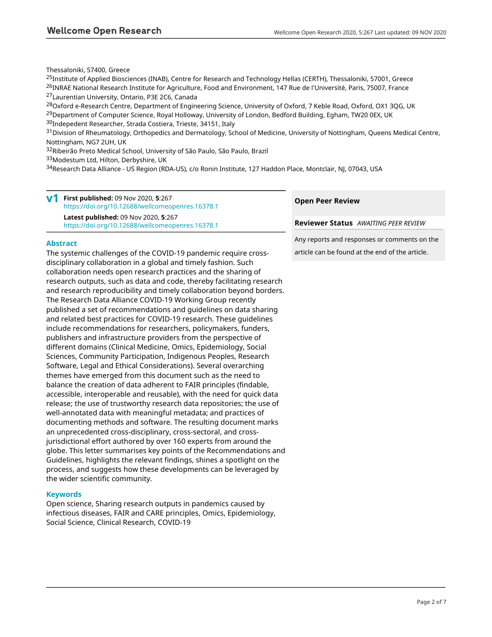Thessaloniki, 57400, Greece

<sup>25</sup>Institute of Applied Biosciences (INAB), Centre for Research and Technology Hellas (CERTH), Thessaloniki, 57001, Greece <sup>26</sup>INRAE National Research Institute for Agriculture, Food and Environment, 147 Rue de l'Université, Paris, 75007, France <sup>27</sup>Laurentian University, Ontario, P3E 2C6, Canada

<sup>28</sup>Oxford e-Research Centre, Department of Engineering Science, University of Oxford, 7 Keble Road, Oxford, OX1 3QG, UK <sup>29</sup>Department of Computer Science, Royal Holloway, University of London, Bedford Building, Egham, TW20 0EX, UK <sup>30</sup>Indepedent Researcher, Strada Costiera, Trieste, 34151, Italy

<sup>31</sup>Division of Rheumatology, Orthopedics and Dermatology, School of Medicine, University of Nottingham, Queens Medical Centre, Nottingham, NG7 2UH, UK

<sup>32</sup>Ribeirão Preto Medical School, University of São Paulo, São Paulo, Brazil

33 Modestum Ltd, Hilton, Derbyshire, UK

<sup>34</sup>Research Data Alliance - US Region (RDA-US), c/o Ronin Institute, 127 Haddon Place, Montclair, NJ, 07043, USA

|  | $V1$ First published: 09 Nov 2020, 5:267<br>https://doi.org/10.12688/wellcomeopenres.16378.1    |
|--|-------------------------------------------------------------------------------------------------|
|  | <b>Latest published: 09 Nov 2020, 5:267</b><br>https://doi.org/10.12688/wellcomeopenres.16378.1 |

# **Abstract**

The systemic challenges of the COVID-19 pandemic require crossdisciplinary collaboration in a global and timely fashion. Such collaboration needs open research practices and the sharing of research outputs, such as data and code, thereby facilitating research and research reproducibility and timely collaboration beyond borders. The Research Data Alliance COVID-19 Working Group recently published a set of recommendations and guidelines on data sharing and related best practices for COVID-19 research. These guidelines include recommendations for researchers, policymakers, funders, publishers and infrastructure providers from the perspective of different domains (Clinical Medicine, Omics, Epidemiology, Social Sciences, Community Participation, Indigenous Peoples, Research Software, Legal and Ethical Considerations). Several overarching themes have emerged from this document such as the need to balance the creation of data adherent to FAIR principles (findable, accessible, interoperable and reusable), with the need for quick data release; the use of trustworthy research data repositories; the use of well-annotated data with meaningful metadata; and practices of documenting methods and software. The resulting document marks an unprecedented cross-disciplinary, cross-sectoral, and crossjurisdictional effort authored by over 160 experts from around the globe. This letter summarises key points of the Recommendations and Guidelines, highlights the relevant findings, shines a spotlight on the process, and suggests how these developments can be leveraged by the wider scientific community.

# **Keywords**

Open science, Sharing research outputs in pandemics caused by infectious diseases, FAIR and CARE principles, Omics, Epidemiology, Social Science, Clinical Research, COVID-19

# **Open Peer Review**

**Reviewer Status** *AWAITING PEER REVIEW*

Any reports and responses or comments on the article can be found at the end of the article.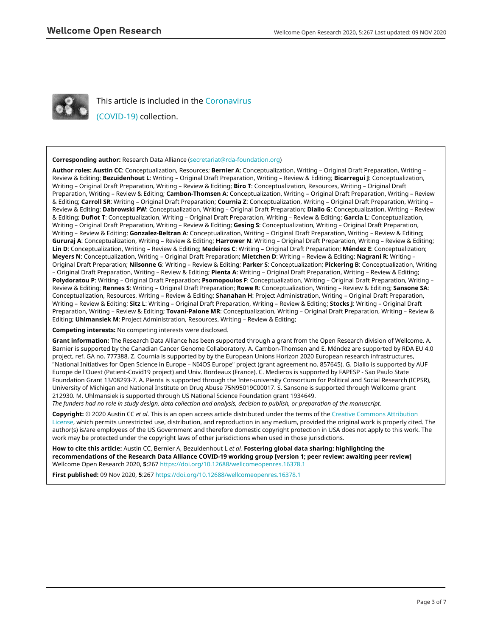

This article is included in the [Coronavirus](https://wellcomeopenresearch.org/collections/covid19)

[\(COVID-19\)](https://wellcomeopenresearch.org/collections/covid19) collection.

### **Corresponding author:** Research Data Alliance ([secretariat@rda-foundation.org\)](mailto:secretariat@rda-foundation.org)

**Author roles: Austin CC**: Conceptualization, Resources; **Bernier A**: Conceptualization, Writing – Original Draft Preparation, Writing – Review & Editing; **Bezuidenhout L**: Writing – Original Draft Preparation, Writing – Review & Editing; **Bicarregui J**: Conceptualization, Writing – Original Draft Preparation, Writing – Review & Editing; **Biro T**: Conceptualization, Resources, Writing – Original Draft Preparation, Writing – Review & Editing; **Cambon-Thomsen A**: Conceptualization, Writing – Original Draft Preparation, Writing – Review & Editing; **Carroll SR**: Writing – Original Draft Preparation; **Cournia Z**: Conceptualization, Writing – Original Draft Preparation, Writing – Review & Editing; **Dabrowski PW**: Conceptualization, Writing – Original Draft Preparation; **Diallo G**: Conceptualization, Writing – Review & Editing; **Duflot T**: Conceptualization, Writing – Original Draft Preparation, Writing – Review & Editing; **Garcia L**: Conceptualization, Writing – Original Draft Preparation, Writing – Review & Editing; **Gesing S**: Conceptualization, Writing – Original Draft Preparation, Writing – Review & Editing; **Gonzalez-Beltran A**: Conceptualization, Writing – Original Draft Preparation, Writing – Review & Editing; **Gururaj A**: Conceptualization, Writing – Review & Editing; **Harrower N**: Writing – Original Draft Preparation, Writing – Review & Editing; **Lin D**: Conceptualization, Writing – Review & Editing; **Medeiros C**: Writing – Original Draft Preparation; **Méndez E**: Conceptualization; **Meyers N**: Conceptualization, Writing – Original Draft Preparation; **Mietchen D**: Writing – Review & Editing; **Nagrani R**: Writing – Original Draft Preparation; **Nilsonne G**: Writing – Review & Editing; **Parker S**: Conceptualization; **Pickering B**: Conceptualization, Writing – Original Draft Preparation, Writing – Review & Editing; **Pienta A**: Writing – Original Draft Preparation, Writing – Review & Editing; **Polydoratou P**: Writing – Original Draft Preparation; **Psomopoulos F**: Conceptualization, Writing – Original Draft Preparation, Writing – Review & Editing; **Rennes S**: Writing – Original Draft Preparation; **Rowe R**: Conceptualization, Writing – Review & Editing; **Sansone SA**: Conceptualization, Resources, Writing – Review & Editing; **Shanahan H**: Project Administration, Writing – Original Draft Preparation, Writing – Review & Editing; **Sitz L**: Writing – Original Draft Preparation, Writing – Review & Editing; **Stocks J**: Writing – Original Draft Preparation, Writing – Review & Editing; **Tovani-Palone MR**: Conceptualization, Writing – Original Draft Preparation, Writing – Review & Editing; **Uhlmansiek M**: Project Administration, Resources, Writing – Review & Editing;

**Competing interests:** No competing interests were disclosed.

**Grant information:** The Research Data Alliance has been supported through a grant from the Open Research division of Wellcome. A. Barnier is supported by the Canadian Cancer Genome Collaboratory. A. Cambon-Thomsen and E. Méndez are supported by RDA EU 4.0 project, ref. GA no. 777388. Z. Cournia is supported by by the European Unions Horizon 2020 European research infrastructures, "National Initiatives for Open Science in Europe – NI4OS Europe" project (grant agreement no. 857645). G. Diallo is supported by AUF Europe de l'Ouest (Patient-Covid19 project) and Univ. Bordeaux (France). C. Medieros is supported by FAPESP - Sao Paulo State Foundation Grant 13/08293-7. A. Pienta is supported through the Inter-university Consortium for Political and Social Research (ICPSR), University of Michigan and National Institute on Drug Abuse 75N95019C00017. S. Sansone is supported through Wellcome grant 212930. M. Uhlmansiek is supported through US National Science Foundation grant 1934649.

*The funders had no role in study design, data collection and analysis, decision to publish, or preparation of the manuscript.*

**Copyright:** © 2020 Austin CC *et al*. This is an open access article distributed under the terms of the [Creative Commons Attribution](http://creativecommons.org/licenses/by/4.0/) [License](http://creativecommons.org/licenses/by/4.0/), which permits unrestricted use, distribution, and reproduction in any medium, provided the original work is properly cited. The author(s) is/are employees of the US Government and therefore domestic copyright protection in USA does not apply to this work. The work may be protected under the copyright laws of other jurisdictions when used in those jurisdictions.

**How to cite this article:** Austin CC, Bernier A, Bezuidenhout L *et al.* **Fostering global data sharing: highlighting the recommendations of the Research Data Alliance COVID-19 working group [version 1; peer review: awaiting peer review]** Wellcome Open Research 2020, **5**:267<https://doi.org/10.12688/wellcomeopenres.16378.1>

**First published:** 09 Nov 2020, **5**:267 <https://doi.org/10.12688/wellcomeopenres.16378.1>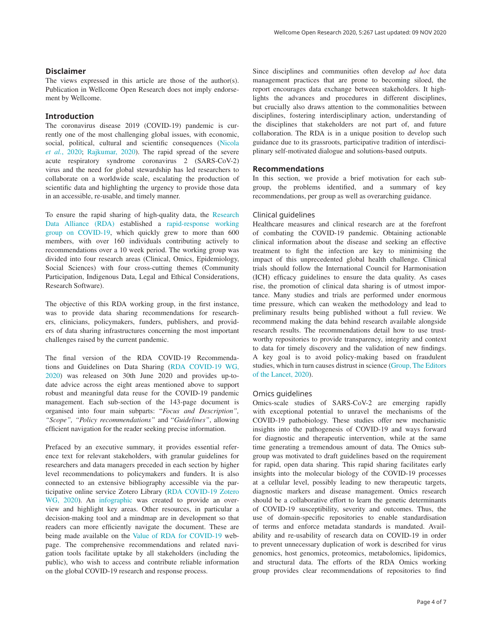# **Disclaimer**

The views expressed in this article are those of the author(s). Publication in Wellcome Open Research does not imply endorsement by Wellcome.

## **Introduction**

The coronavirus disease 2019 (COVID-19) pandemic is currently one of the most challenging global issues, with economic, social, political, cultural and scientific consequences ([Nicola](#page-6-0)  *et al.*[, 2020; Rajkumar, 2020\)](#page-6-0). The rapid spread of the severe acute respiratory syndrome coronavirus 2 (SARS-CoV-2) virus and the need for global stewardship has led researchers to collaborate on a worldwide scale, escalating the production of scientific data and highlighting the urgency to provide those data in an accessible, re-usable, and timely manner.

To ensure the rapid sharing of high-quality data, the [Research](https://rd-alliance.org/)  [Data Alliance \(RDA\)](https://rd-alliance.org/) established a [rapid-response working](https://www.rd-alliance.org/groups/rda-covid19)  [group on COVID-19](https://www.rd-alliance.org/groups/rda-covid19), which quickly grew to more than 600 members, with over 160 individuals contributing actively to recommendations over a 10 week period. The working group was divided into four research areas (Clinical, Omics, Epidemiology, Social Sciences) with four cross-cutting themes (Community Participation, Indigenous Data, Legal and Ethical Considerations, Research Software).

The objective of this RDA working group, in the first instance, was to provide data sharing recommendations for researchers, clinicians, policymakers, funders, publishers, and providers of data sharing infrastructures concerning the most important challenges raised by the current pandemic.

The final version of the RDA COVID-19 Recommendations and Guidelines on Data Sharing [\(RDA COVID-19 WG,](#page-6-0)  [2020\)](#page-6-0) was released on 30th June 2020 and provides up-todate advice across the eight areas mentioned above to support robust and meaningful data reuse for the COVID-19 pandemic management. Each sub-section of the 143-page document is organised into four main subparts: "*Focus and Description", "Scope", "Policy recommendations"* and "*Guidelines"*, allowing efficient navigation for the reader seeking precise information.

Prefaced by an executive summary, it provides essential reference text for relevant stakeholders, with granular guidelines for researchers and data managers preceded in each section by higher level recommendations to policymakers and funders. It is also connected to an extensive bibliography accessible via the participative online service Zotero Library [\(RDA COVID-19 Zotero](#page-6-0)  [WG, 2020](#page-6-0)). An [infographic](https://www.rd-alliance.org/system/files/FINAL_RDA COVID-19 Recommendations and Guidelines on Data Sharing Infographic.pdf) was created to provide an overview and highlight key areas. Other resources, in particular a decision-making tool and a mindmap are in development so that readers can more efficiently navigate the document. These are being made available on the [Value of RDA for COVID-19](https://www.rd-alliance.org/value-rda-covid-19-0) webpage. The comprehensive recommendations and related navigation tools facilitate uptake by all stakeholders (including the public), who wish to access and contribute reliable information on the global COVID-19 research and response process.

Since disciplines and communities often develop *ad hoc* data management practices that are prone to becoming siloed, the report encourages data exchange between stakeholders. It highlights the advances and procedures in different disciplines, but crucially also draws attention to the commonalities between disciplines, fostering interdisciplinary action, understanding of the disciplines that stakeholders are not part of, and future collaboration. The RDA is in a unique position to develop such guidance due to its grassroots, participative tradition of interdisciplinary self-motivated dialogue and solutions-based outputs.

#### **Recommendations**

In this section, we provide a brief motivation for each subgroup, the problems identified, and a summary of key recommendations, per group as well as overarching guidance.

## Clinical guidelines

Healthcare measures and clinical research are at the forefront of combating the COVID-19 pandemic. Obtaining actionable clinical information about the disease and seeking an effective treatment to fight the infection are key to minimising the impact of this unprecedented global health challenge. Clinical trials should follow the International Council for Harmonisation (ICH) efficacy guidelines to ensure the data quality. As cases rise, the promotion of clinical data sharing is of utmost importance. Many studies and trials are performed under enormous time pressure, which can weaken the methodology and lead to preliminary results being published without a full review. We recommend making the data behind research available alongside research results. The recommendations detail how to use trustworthy repositories to provide transparency, integrity and context to data for timely discovery and the validation of new findings. A key goal is to avoid policy-making based on fraudulent studies, which in turn causes distrust in science ([Group, The Editors](#page-6-0)  [of the Lancet, 2020\)](#page-6-0).

### Omics guidelines

Omics-scale studies of SARS-CoV-2 are emerging rapidly with exceptional potential to unravel the mechanisms of the COVID-19 pathobiology. These studies offer new mechanistic insights into the pathogenesis of COVID-19 and ways forward for diagnostic and therapeutic intervention, while at the same time generating a tremendous amount of data. The Omics subgroup was motivated to draft guidelines based on the requirement for rapid, open data sharing. This rapid sharing facilitates early insights into the molecular biology of the COVID-19 processes at a cellular level, possibly leading to new therapeutic targets, diagnostic markers and disease management. Omics research should be a collaborative effort to learn the genetic determinants of COVID-19 susceptibility, severity and outcomes. Thus, the use of domain-specific repositories to enable standardisation of terms and enforce metadata standards is mandated. Availability and re-usability of research data on COVID-19 in order to prevent unnecessary duplication of work is described for virus genomics, host genomics, proteomics, metabolomics, lipidomics, and structural data. The efforts of the RDA Omics working group provides clear recommendations of repositories to find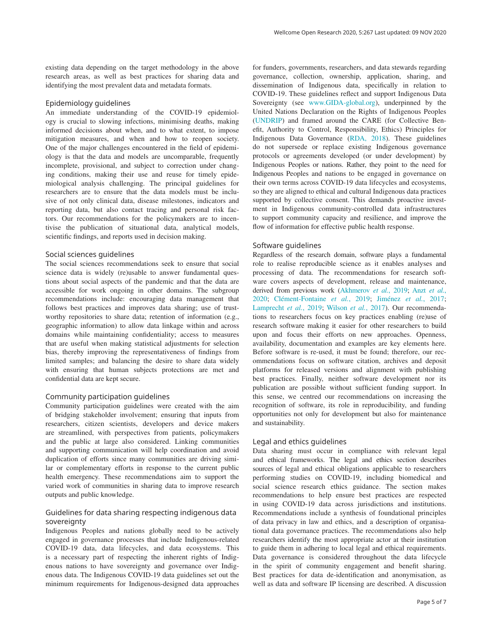existing data depending on the target methodology in the above research areas, as well as best practices for sharing data and identifying the most prevalent data and metadata formats.

## Epidemiology guidelines

An immediate understanding of the COVID-19 epidemiology is crucial to slowing infections, minimising deaths, making informed decisions about when, and to what extent, to impose mitigation measures, and when and how to reopen society. One of the major challenges encountered in the field of epidemiology is that the data and models are uncomparable, frequently incomplete, provisional, and subject to correction under changing conditions, making their use and reuse for timely epidemiological analysis challenging. The principal guidelines for researchers are to ensure that the data models must be inclusive of not only clinical data, disease milestones, indicators and reporting data, but also contact tracing and personal risk factors. Our recommendations for the policymakers are to incentivise the publication of situational data, analytical models, scientific findings, and reports used in decision making.

#### Social sciences guidelines

The social sciences recommendations seek to ensure that social science data is widely (re)usable to answer fundamental questions about social aspects of the pandemic and that the data are accessible for work ongoing in other domains. The subgroup recommendations include: encouraging data management that follows best practices and improves data sharing; use of trustworthy repositories to share data; retention of information (e.g., geographic information) to allow data linkage within and across domains while maintaining confidentiality; access to measures that are useful when making statistical adjustments for selection bias, thereby improving the representativeness of findings from limited samples; and balancing the desire to share data widely with ensuring that human subjects protections are met and confidential data are kept secure.

### Community participation guidelines

Community participation guidelines were created with the aim of bridging stakeholder involvement; ensuring that inputs from researchers, citizen scientists, developers and device makers are streamlined, with perspectives from patients, policymakers and the public at large also considered. Linking communities and supporting communication will help coordination and avoid duplication of efforts since many communities are driving similar or complementary efforts in response to the current public health emergency. These recommendations aim to support the varied work of communities in sharing data to improve research outputs and public knowledge.

# Guidelines for data sharing respecting indigenous data sovereignty

Indigenous Peoples and nations globally need to be actively engaged in governance processes that include Indigenous-related COVID-19 data, data lifecycles, and data ecosystems. This is a necessary part of respecting the inherent rights of Indigenous nations to have sovereignty and governance over Indigenous data. The Indigenous COVID-19 data guidelines set out the minimum requirements for Indigenous-designed data approaches

for funders, governments, researchers, and data stewards regarding governance, collection, ownership, application, sharing, and dissemination of Indigenous data, specifically in relation to COVID-19. These guidelines reflect and support Indigenous Data Sovereignty (see [www.GIDA-global.org](http://www.gida-global.org/)), underpinned by the United Nations Declaration on the Rights of Indigenous Peoples ([UNDRIP](https://www.refworld.org/docid/471355a82.html)) and framed around the CARE (for Collective Benefit, Authority to Control, Responsibility, Ethics) Principles for Indigenous Data Governance [\(RDA, 2018](#page-6-0)). These guidelines do not supersede or replace existing Indigenous governance protocols or agreements developed (or under development) by Indigenous Peoples or nations. Rather, they point to the need for Indigenous Peoples and nations to be engaged in governance on their own terms across COVID-19 data lifecycles and ecosystems, so they are aligned to ethical and cultural Indigenous data practices supported by collective consent. This demands proactive investment in Indigenous community-controlled data infrastructures to support community capacity and resilience, and improve the flow of information for effective public health response.

#### Software guidelines

Regardless of the research domain, software plays a fundamental role to realise reproducible science as it enables analyses and processing of data. The recommendations for research software covers aspects of development, release and maintenance, derived from previous work (Akhmerov *et al.*[, 2019; Anzt](#page-6-0) *et al.*, [2020; Clément-Fontaine](#page-6-0) *et al.*, 2019; Jiménez *et al.*, 2017; Lamprecht *et al.*[, 2019; Wilson](#page-6-0) *et al.*, 2017). Our recommendations to researchers focus on key practices enabling (re)use of research software making it easier for other researchers to build upon and focus their efforts on new approaches. Openness, availability, documentation and examples are key elements here. Before software is re-used, it must be found; therefore, our recommendations focus on software citation, archives and deposit platforms for released versions and alignment with publishing best practices. Finally, neither software development nor its publication are possible without sufficient funding support. In this sense, we centred our recommendations on increasing the recognition of software, its role in reproducibility, and funding opportunities not only for development but also for maintenance and sustainability.

# Legal and ethics guidelines

Data sharing must occur in compliance with relevant legal and ethical frameworks. The legal and ethics section describes sources of legal and ethical obligations applicable to researchers performing studies on COVID-19, including biomedical and social science research ethics guidance. The section makes recommendations to help ensure best practices are respected in using COVID-19 data across jurisdictions and institutions. Recommendations include a synthesis of foundational principles of data privacy in law and ethics, and a description of organisational data governance practices. The recommendations also help researchers identify the most appropriate actor at their institution to guide them in adhering to local legal and ethical requirements. Data governance is considered throughout the data lifecycle in the spirit of community engagement and benefit sharing. Best practices for data de-identification and anonymisation, as well as data and software IP licensing are described. A discussion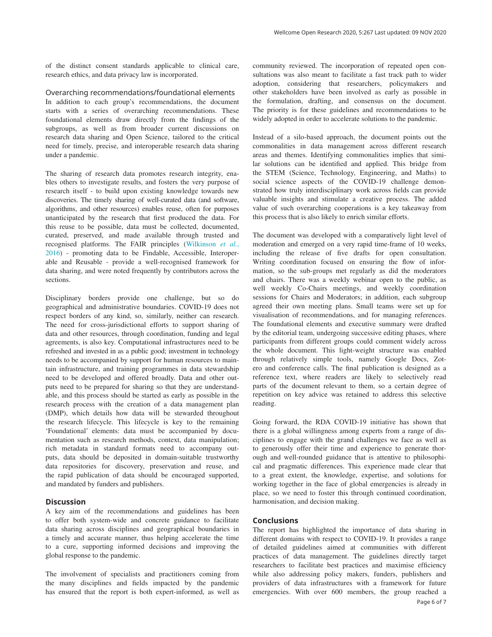of the distinct consent standards applicable to clinical care, research ethics, and data privacy law is incorporated.

Overarching recommendations/foundational elements In addition to each group's recommendations, the document starts with a series of overarching recommendations. These foundational elements draw directly from the findings of the subgroups, as well as from broader current discussions on research data sharing and Open Science, tailored to the critical need for timely, precise, and interoperable research data sharing under a pandemic.

The sharing of research data promotes research integrity, enables others to investigate results, and fosters the very purpose of research itself - to build upon existing knowledge towards new discoveries. The timely sharing of well-curated data (and software, algorithms, and other resources) enables reuse, often for purposes unanticipated by the research that first produced the data. For this reuse to be possible, data must be collected, documented, curated, preserved, and made available through trusted and recognised platforms. The FAIR principles ([Wilkinson](#page-6-0) *et al.*, [2016\)](#page-6-0) - promoting data to be Findable, Accessible, Interoperable and Reusable - provide a well-recognised framework for data sharing, and were noted frequently by contributors across the sections.

Disciplinary borders provide one challenge, but so do geographical and administrative boundaries. COVID-19 does not respect borders of any kind, so, similarly, neither can research. The need for cross-jurisdictional efforts to support sharing of data and other resources, through coordination, funding and legal agreements, is also key. Computational infrastructures need to be refreshed and invested in as a public good; investment in technology needs to be accompanied by support for human resources to maintain infrastructure, and training programmes in data stewardship need to be developed and offered broadly. Data and other outputs need to be prepared for sharing so that they are understandable, and this process should be started as early as possible in the research process with the creation of a data management plan (DMP), which details how data will be stewarded throughout the research lifecycle. This lifecycle is key to the remaining 'Foundational' elements: data must be accompanied by documentation such as research methods, context, data manipulation; rich metadata in standard formats need to accompany outputs, data should be deposited in domain-suitable trustworthy data repositories for discovery, preservation and reuse, and the rapid publication of data should be encouraged supported, and mandated by funders and publishers.

## **Discussion**

A key aim of the recommendations and guidelines has been to offer both system-wide and concrete guidance to facilitate data sharing across disciplines and geographical boundaries in a timely and accurate manner, thus helping accelerate the time to a cure, supporting informed decisions and improving the global response to the pandemic.

The involvement of specialists and practitioners coming from the many disciplines and fields impacted by the pandemic has ensured that the report is both expert-informed, as well as

community reviewed. The incorporation of repeated open consultations was also meant to facilitate a fast track path to wider adoption, considering that researchers, policymakers and other stakeholders have been involved as early as possible in the formulation, drafting, and consensus on the document. The priority is for these guidelines and recommendations to be widely adopted in order to accelerate solutions to the pandemic.

Instead of a silo-based approach, the document points out the commonalities in data management across different research areas and themes. Identifying commonalities implies that similar solutions can be identified and applied. This bridge from the STEM (Science, Technology, Engineering, and Maths) to social science aspects of the COVID-19 challenge demonstrated how truly interdisciplinary work across fields can provide valuable insights and stimulate a creative process. The added value of such overarching cooperations is a key takeaway from this process that is also likely to enrich similar efforts.

The document was developed with a comparatively light level of moderation and emerged on a very rapid time-frame of 10 weeks, including the release of five drafts for open consultation. Writing coordination focused on ensuring the flow of information, so the sub-groups met regularly as did the moderators and chairs. There was a weekly webinar open to the public, as well weekly Co-Chairs meetings, and weekly coordination sessions for Chairs and Moderators; in addition, each subgroup agreed their own meeting plans. Small teams were set up for visualisation of recommendations, and for managing references. The foundational elements and executive summary were drafted by the editorial team, undergoing successive editing phases, where participants from different groups could comment widely across the whole document. This light-weight structure was enabled through relatively simple tools, namely Google Docs, Zotero and conference calls. The final publication is designed as a reference text, where readers are likely to selectively read parts of the document relevant to them, so a certain degree of repetition on key advice was retained to address this selective reading.

Going forward, the RDA COVID-19 initiative has shown that there is a global willingness among experts from a range of disciplines to engage with the grand challenges we face as well as to generously offer their time and experience to generate thorough and well-rounded guidance that is attentive to philosophical and pragmatic differences. This experience made clear that to a great extent, the knowledge, expertise, and solutions for working together in the face of global emergencies is already in place, so we need to foster this through continued coordination, harmonisation, and decision making.

# **Conclusions**

The report has highlighted the importance of data sharing in different domains with respect to COVID-19. It provides a range of detailed guidelines aimed at communities with different practices of data management. The guidelines directly target researchers to facilitate best practices and maximise efficiency while also addressing policy makers, funders, publishers and providers of data infrastructures with a framework for future emergencies. With over 600 members, the group reached a